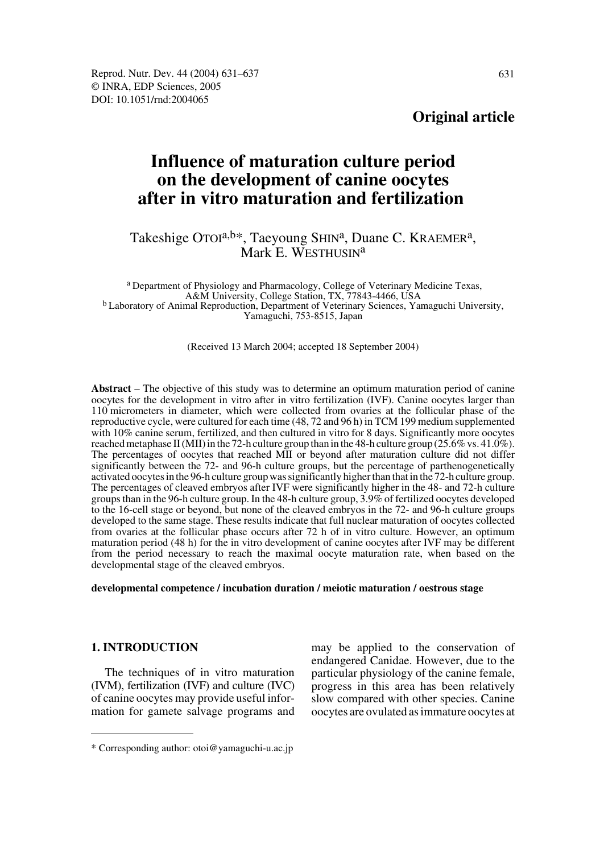**Original article**

# **Influence of maturation culture period on the development of canine oocytes after in vitro maturation and fertilization**

# Takeshige OTOI<sup>a,b\*</sup>, Taeyoung SHIN<sup>a</sup>, Duane C. KRAEMER<sup>a</sup>, Mark E. WESTHUSIN<sup>a</sup>

a Department of Physiology and Pharmacology, College of Veterinary Medicine Texas, A&M University, College Station, TX, 77843-4466, USA<br><sup>b</sup> Laboratory of Animal Reproduction, Department of Veterinary Sciences, Yamaguchi University, Yamaguchi, 753-8515, Japan

(Received 13 March 2004; accepted 18 September 2004)

**Abstract** – The objective of this study was to determine an optimum maturation period of canine oocytes for the development in vitro after in vitro fertilization (IVF). Canine oocytes larger than 110 micrometers in diameter, which were collected from ovaries at the follicular phase of the reproductive cycle, were cultured for each time (48, 72 and 96 h) in TCM 199 medium supplemented with 10% canine serum, fertilized, and then cultured in vitro for 8 days. Significantly more oocytes reached metaphase II (MII) in the 72-h culture group than in the 48-h culture group (25.6% vs. 41.0%). The percentages of oocytes that reached MII or beyond after maturation culture did not differ significantly between the 72- and 96-h culture groups, but the percentage of parthenogenetically activated oocytes in the 96-h culture group was significantly higher than that in the 72-h culture group. The percentages of cleaved embryos after IVF were significantly higher in the 48- and 72-h culture groups than in the 96-h culture group. In the 48-h culture group, 3.9% of fertilized oocytes developed to the 16-cell stage or beyond, but none of the cleaved embryos in the 72- and 96-h culture groups developed to the same stage. These results indicate that full nuclear maturation of oocytes collected from ovaries at the follicular phase occurs after 72 h of in vitro culture. However, an optimum maturation period (48 h) for the in vitro development of canine oocytes after IVF may be different from the period necessary to reach the maximal oocyte maturation rate, when based on the developmental stage of the cleaved embryos.

#### **developmental competence / incubation duration / meiotic maturation / oestrous stage**

# **1. INTRODUCTION**

The techniques of in vitro maturation (IVM), fertilization (IVF) and culture (IVC) of canine oocytes may provide useful information for gamete salvage programs and may be applied to the conservation of endangered Canidae. However, due to the particular physiology of the canine female, progress in this area has been relatively slow compared with other species. Canine oocytes are ovulated as immature oocytes at

<sup>\*</sup> Corresponding author: otoi@yamaguchi-u.ac.jp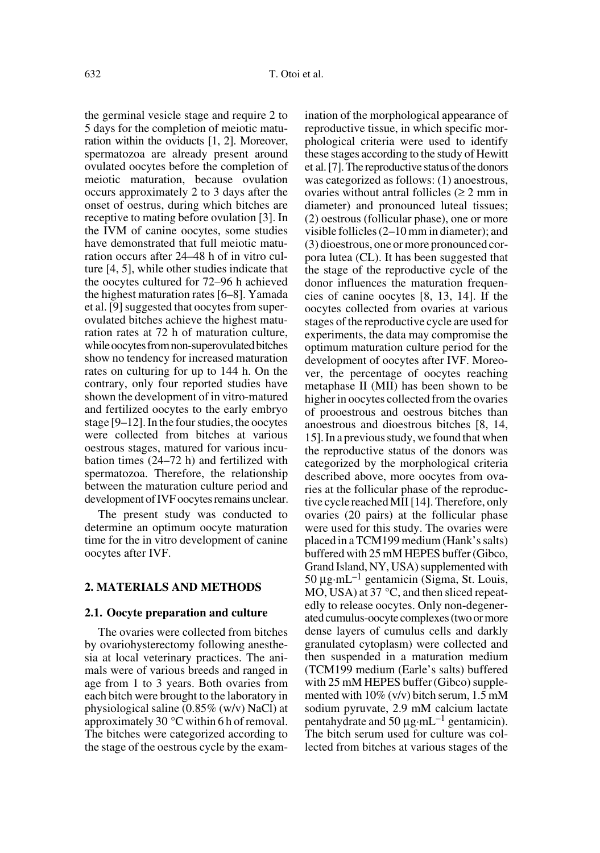the germinal vesicle stage and require 2 to 5 days for the completion of meiotic maturation within the oviducts [1, 2]. Moreover, spermatozoa are already present around ovulated oocytes before the completion of meiotic maturation, because ovulation occurs approximately 2 to 3 days after the onset of oestrus, during which bitches are receptive to mating before ovulation [3]. In the IVM of canine oocytes, some studies have demonstrated that full meiotic maturation occurs after 24–48 h of in vitro culture [4, 5], while other studies indicate that the oocytes cultured for 72–96 h achieved the highest maturation rates [6–8]. Yamada et al. [9] suggested that oocytes from superovulated bitches achieve the highest maturation rates at 72 h of maturation culture, while oocytes from non-superovulated bitches show no tendency for increased maturation rates on culturing for up to 144 h. On the contrary, only four reported studies have shown the development of in vitro-matured and fertilized oocytes to the early embryo stage [9–12]. In the four studies, the oocytes were collected from bitches at various oestrous stages, matured for various incubation times (24–72 h) and fertilized with spermatozoa. Therefore, the relationship between the maturation culture period and development of IVF oocytes remains unclear.

The present study was conducted to determine an optimum oocyte maturation time for the in vitro development of canine oocytes after IVF.

# **2. MATERIALS AND METHODS**

#### **2.1. Oocyte preparation and culture**

The ovaries were collected from bitches by ovariohysterectomy following anesthesia at local veterinary practices. The animals were of various breeds and ranged in age from 1 to 3 years. Both ovaries from each bitch were brought to the laboratory in physiological saline (0.85% (w/v) NaCl) at approximately 30 °C within 6 h of removal. The bitches were categorized according to the stage of the oestrous cycle by the examination of the morphological appearance of reproductive tissue, in which specific morphological criteria were used to identify these stages according to the study of Hewitt et al. [7]. The reproductive status of the donors was categorized as follows: (1) anoestrous, ovaries without antral follicles  $(≥ 2$  mm in diameter) and pronounced luteal tissues; (2) oestrous (follicular phase), one or more visible follicles (2–10 mm in diameter); and (3) dioestrous, one or more pronounced corpora lutea (CL). It has been suggested that the stage of the reproductive cycle of the donor influences the maturation frequencies of canine oocytes [8, 13, 14]. If the oocytes collected from ovaries at various stages of the reproductive cycle are used for experiments, the data may compromise the optimum maturation culture period for the development of oocytes after IVF. Moreover, the percentage of oocytes reaching metaphase II (MII) has been shown to be higher in oocytes collected from the ovaries of prooestrous and oestrous bitches than anoestrous and dioestrous bitches [8, 14, 15]. In a previous study, we found that when the reproductive status of the donors was categorized by the morphological criteria described above, more oocytes from ovaries at the follicular phase of the reproductive cycle reached MII [14]. Therefore, only ovaries (20 pairs) at the follicular phase were used for this study. The ovaries were placed in a TCM199 medium (Hank's salts) buffered with 25 mM HEPES buffer (Gibco, Grand Island, NY, USA) supplemented with 50  $\mu$ g·mL<sup>-1</sup> gentamicin (Sigma, St. Louis, MO, USA) at 37 °C, and then sliced repeatedly to release oocytes. Only non-degenerated cumulus-oocyte complexes (two or more dense layers of cumulus cells and darkly granulated cytoplasm) were collected and then suspended in a maturation medium (TCM199 medium (Earle's salts) buffered with 25 mM HEPES buffer (Gibco) supplemented with 10% (v/v) bitch serum, 1.5 mM sodium pyruvate, 2.9 mM calcium lactate pentahydrate and 50  $\mu$ g·mL<sup>-1</sup> gentamicin). The bitch serum used for culture was collected from bitches at various stages of the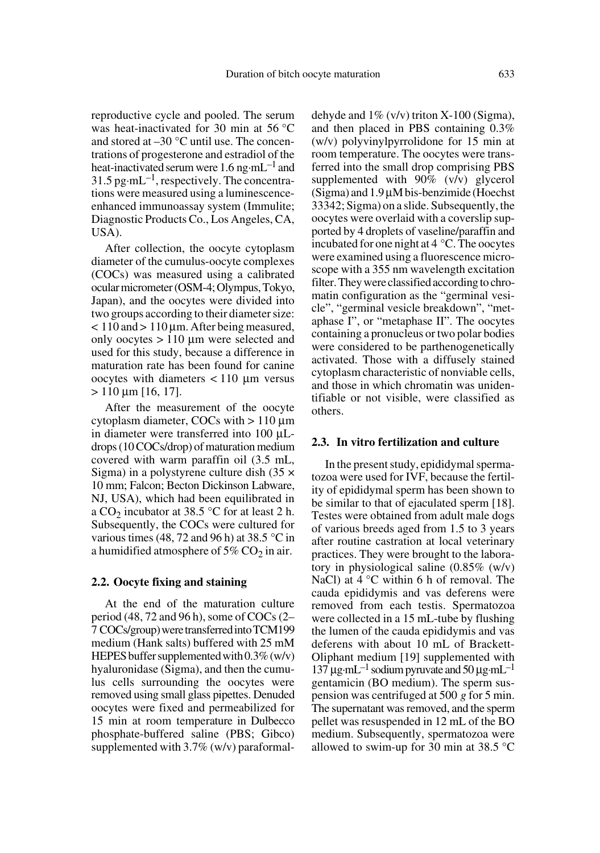reproductive cycle and pooled. The serum was heat-inactivated for 30 min at 56 °C and stored at –30 °C until use. The concentrations of progesterone and estradiol of the heat-inactivated serum were 1.6 ng·mL<sup>-1</sup> and  $31.5$  pg·mL<sup>-1</sup>, respectively. The concentrations were measured using a luminescenceenhanced immunoassay system (Immulite; Diagnostic Products Co., Los Angeles, CA, USA).

After collection, the oocyte cytoplasm diameter of the cumulus-oocyte complexes (COCs) was measured using a calibrated ocular micrometer (OSM-4; Olympus, Tokyo, Japan), and the oocytes were divided into two groups according to their diameter size:  $<$  110 and  $>$  110 µm. After being measured, only oocytes > 110 µm were selected and used for this study, because a difference in maturation rate has been found for canine oocytes with diameters  $\langle 110 \mu m \rangle$  versus  $> 110 \mu m$  [16, 17].

After the measurement of the oocyte cytoplasm diameter, COCs with > 110 µm in diameter were transferred into 100 µLdrops (10 COCs/drop) of maturation medium covered with warm paraffin oil (3.5 mL, Sigma) in a polystyrene culture dish  $(35 \times$ 10 mm; Falcon; Becton Dickinson Labware, NJ, USA), which had been equilibrated in a  $CO_2$  incubator at 38.5 °C for at least 2 h. Subsequently, the COCs were cultured for various times (48, 72 and 96 h) at 38.5 °C in a humidified atmosphere of  $5\%$  CO<sub>2</sub> in air.

# **2.2. Oocyte fixing and staining**

At the end of the maturation culture period (48, 72 and 96 h), some of COCs (2– 7 COCs/group) were transferred into TCM199 medium (Hank salts) buffered with 25 mM HEPES buffer supplemented with 0.3% (w/v) hyaluronidase (Sigma), and then the cumulus cells surrounding the oocytes were removed using small glass pipettes. Denuded oocytes were fixed and permeabilized for 15 min at room temperature in Dulbecco phosphate-buffered saline (PBS; Gibco) supplemented with 3.7% (w/v) paraformaldehyde and  $1\%$  (v/v) triton X-100 (Sigma), and then placed in PBS containing 0.3% (w/v) polyvinylpyrrolidone for 15 min at room temperature. The oocytes were transferred into the small drop comprising PBS supplemented with 90% (v/v) glycerol (Sigma) and 1.9 µM bis-benzimide (Hoechst 33342; Sigma) on a slide. Subsequently, the oocytes were overlaid with a coverslip supported by 4 droplets of vaseline/paraffin and incubated for one night at 4 °C. The oocytes were examined using a fluorescence microscope with a 355 nm wavelength excitation filter. They were classified according to chromatin configuration as the "germinal vesicle", "germinal vesicle breakdown", "metaphase I", or "metaphase II". The oocytes containing a pronucleus or two polar bodies were considered to be parthenogenetically activated. Those with a diffusely stained cytoplasm characteristic of nonviable cells, and those in which chromatin was unidentifiable or not visible, were classified as others.

#### **2.3. In vitro fertilization and culture**

In the present study, epididymal spermatozoa were used for IVF, because the fertility of epididymal sperm has been shown to be similar to that of ejaculated sperm [18]. Testes were obtained from adult male dogs of various breeds aged from 1.5 to 3 years after routine castration at local veterinary practices. They were brought to the laboratory in physiological saline (0.85% (w/v) NaCl) at  $4^{\circ}$ C within 6 h of removal. The cauda epididymis and vas deferens were removed from each testis. Spermatozoa were collected in a 15 mL-tube by flushing the lumen of the cauda epididymis and vas deferens with about 10 mL of Brackett-Oliphant medium [19] supplemented with 137  $\mu$ g·mL<sup>-1</sup> sodium pyruvate and 50  $\mu$ g·mL<sup>-1</sup> gentamicin (BO medium). The sperm suspension was centrifuged at 500 *g* for 5 min. The supernatant was removed, and the sperm pellet was resuspended in 12 mL of the BO medium. Subsequently, spermatozoa were allowed to swim-up for 30 min at 38.5 °C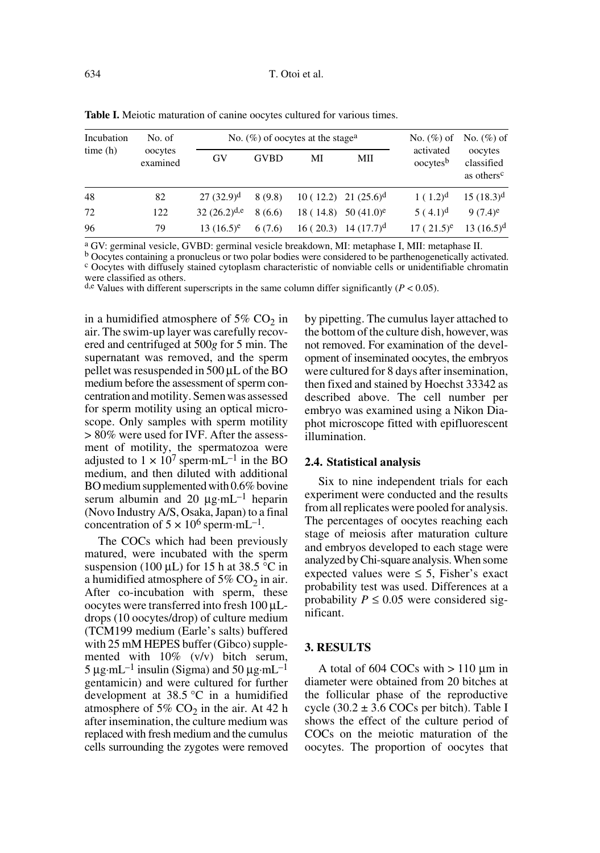| Incubation<br>time(h) | No. of<br>oocytes<br>examined |                  | No. $(\%)$ of oocytes at the stage <sup>a</sup> | No. $(\%)$ of | No. $(\%)$ of                    |                                   |                                                 |
|-----------------------|-------------------------------|------------------|-------------------------------------------------|---------------|----------------------------------|-----------------------------------|-------------------------------------------------|
|                       |                               | GV               | <b>GVBD</b>                                     | МI            | МII                              | activated<br>oocytes <sup>b</sup> | oocytes<br>classified<br>as others <sup>c</sup> |
| 48                    | 82                            | $27(32.9)^d$     | 8(9.8)                                          |               | $10(12.2)$ 21 $(25.6)^d$         | $1(1.2)^d$                        | $15(18.3)^d$                                    |
| 72                    | 122                           | $32(26.2)^{d,e}$ | 8(6.6)                                          |               | 18 (14.8) 50 (41.0) <sup>e</sup> | $5(4.1)^d$                        | $9(7.4)^e$                                      |
| 96                    | 79                            | $13(16.5)^e$     | 6(7.6)                                          |               | $16(20.3)$ 14 $(17.7)^d$         | $17(21.5)^e$                      | $13(16.5)^d$                                    |

**Table I.** Meiotic maturation of canine oocytes cultured for various times.

<sup>a</sup> GV: germinal vesicle, GVBD: germinal vesicle breakdown, MI: metaphase I, MII: metaphase II. b Oocytes containing a pronucleus or two polar bodies were considered to be parthenogenetically activated. <sup>c</sup> Oocytes with diffusely stained cytoplasm characteristic of nonviable cells or unidentifiable chromatin were classified as others.

d,e Values with different superscripts in the same column differ significantly  $(P < 0.05)$ .

in a humidified atmosphere of 5%  $CO<sub>2</sub>$  in air. The swim-up layer was carefully recovered and centrifuged at 500*g* for 5 min. The supernatant was removed, and the sperm pellet was resuspended in 500 µL of the BO medium before the assessment of sperm concentration and motility. Semen was assessed for sperm motility using an optical microscope. Only samples with sperm motility > 80% were used for IVF. After the assessment of motility, the spermatozoa were adjusted to  $1 \times 10^7$  sperm·mL<sup>-1</sup> in the BO medium, and then diluted with additional BO medium supplemented with 0.6% bovine serum albumin and 20  $\mu$ g·mL<sup>-1</sup> heparin (Novo Industry A/S, Osaka, Japan) to a final concentration of  $5 \times 10^6$  sperm $\cdot$ mL<sup>-1</sup>.

The COCs which had been previously matured, were incubated with the sperm suspension (100  $\mu$ L) for 15 h at 38.5 °C in a humidified atmosphere of  $5\%$  CO<sub>2</sub> in air. After co-incubation with sperm, these oocytes were transferred into fresh 100 µLdrops (10 oocytes/drop) of culture medium (TCM199 medium (Earle's salts) buffered with 25 mM HEPES buffer (Gibco) supplemented with 10% (v/v) bitch serum,  $5 \mu$ g·mL<sup>-1</sup> insulin (Sigma) and  $50 \mu$ g·mL<sup>-1</sup> gentamicin) and were cultured for further development at 38.5 °C in a humidified atmosphere of 5%  $CO<sub>2</sub>$  in the air. At 42 h after insemination, the culture medium was replaced with fresh medium and the cumulus cells surrounding the zygotes were removed by pipetting. The cumulus layer attached to the bottom of the culture dish, however, was not removed. For examination of the development of inseminated oocytes, the embryos were cultured for 8 days after insemination, then fixed and stained by Hoechst 33342 as described above. The cell number per embryo was examined using a Nikon Diaphot microscope fitted with epifluorescent illumination.

# **2.4. Statistical analysis**

Six to nine independent trials for each experiment were conducted and the results from all replicates were pooled for analysis. The percentages of oocytes reaching each stage of meiosis after maturation culture and embryos developed to each stage were analyzed by Chi-square analysis. When some expected values were  $\leq 5$ , Fisher's exact probability test was used. Differences at a probability  $P \leq 0.05$  were considered significant.

## **3. RESULTS**

A total of  $604$  COCs with  $> 110$  µm in diameter were obtained from 20 bitches at the follicular phase of the reproductive cycle  $(30.2 \pm 3.6 \text{ COCs}$  per bitch). Table I shows the effect of the culture period of COCs on the meiotic maturation of the oocytes. The proportion of oocytes that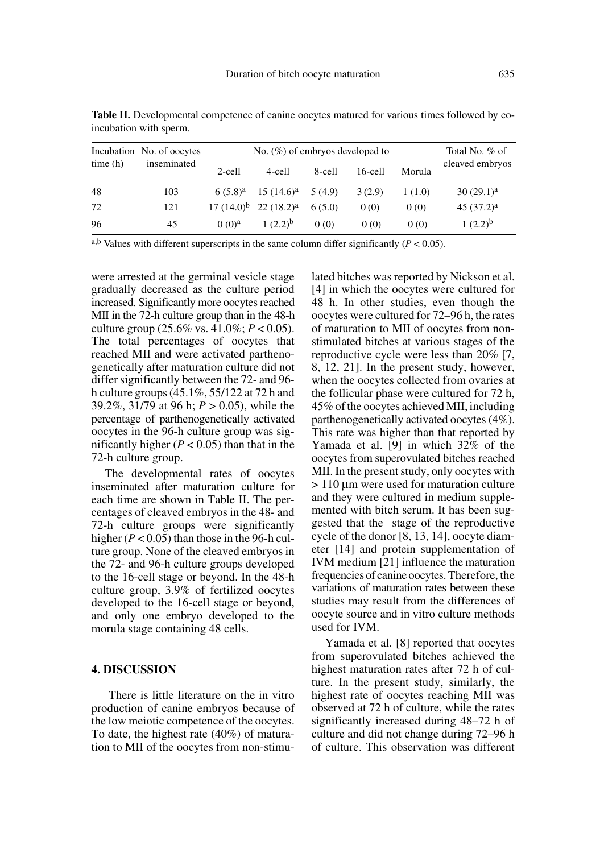| time(h) | Incubation No. of oocytes<br>inseminated | No. $(\%)$ of embryos developed to | Total No. % of             |        |            |        |                 |
|---------|------------------------------------------|------------------------------------|----------------------------|--------|------------|--------|-----------------|
|         |                                          | 2-cell                             | 4-cell                     | 8-cell | $16$ -cell | Morula | cleaved embryos |
| 48      | 103                                      | $6(5.8)^a$                         | $15(14.6)^a$               | 5(4.9) | 3(2.9)     | 1(1.0) | $30(29.1)^a$    |
| 72      | 121                                      |                                    | $17(14.0)^b$ 22 $(18.2)^a$ | 6(5.0) | 0(0)       | 0(0)   | $45(37.2)^a$    |
| 96      | 45                                       | (0)(0) <sup>a</sup>                | $1(2.2)^{b}$               | 0(0)   | 0(0)       | 0(0)   | $1(2.2)^{b}$    |

Table II. Developmental competence of canine oocytes matured for various times followed by coincubation with sperm.

a,b Values with different superscripts in the same column differ significantly  $(P < 0.05)$ *.* 

were arrested at the germinal vesicle stage gradually decreased as the culture period increased. Significantly more oocytes reached MII in the 72-h culture group than in the 48-h culture group (25.6% vs. 41.0%; *P* < 0.05). The total percentages of oocytes that reached MII and were activated parthenogenetically after maturation culture did not differ significantly between the 72- and 96 h culture groups (45.1%, 55/122 at 72 h and 39.2%, 31/79 at 96 h; *P* > 0.05), while the percentage of parthenogenetically activated oocytes in the 96-h culture group was significantly higher  $(P < 0.05)$  than that in the 72-h culture group.

The developmental rates of oocytes inseminated after maturation culture for each time are shown in Table II. The percentages of cleaved embryos in the 48- and 72-h culture groups were significantly higher  $(P < 0.05)$  than those in the 96-h culture group. None of the cleaved embryos in the 72- and 96-h culture groups developed to the 16-cell stage or beyond. In the 48-h culture group, 3.9% of fertilized oocytes developed to the 16-cell stage or beyond, and only one embryo developed to the morula stage containing 48 cells.

#### **4. DISCUSSION**

 There is little literature on the in vitro production of canine embryos because of the low meiotic competence of the oocytes. To date, the highest rate (40%) of maturation to MII of the oocytes from non-stimulated bitches was reported by Nickson et al. [4] in which the oocytes were cultured for 48 h. In other studies, even though the oocytes were cultured for 72–96 h, the rates of maturation to MII of oocytes from nonstimulated bitches at various stages of the reproductive cycle were less than 20% [7, 8, 12, 21]. In the present study, however, when the oocytes collected from ovaries at the follicular phase were cultured for 72 h, 45% of the oocytes achieved MII, including parthenogenetically activated oocytes (4%). This rate was higher than that reported by Yamada et al. [9] in which 32% of the oocytes from superovulated bitches reached MII. In the present study, only oocytes with > 110 µm were used for maturation culture and they were cultured in medium supplemented with bitch serum. It has been suggested that the stage of the reproductive cycle of the donor [8, 13, 14], oocyte diameter [14] and protein supplementation of IVM medium [21] influence the maturation frequencies of canine oocytes. Therefore, the variations of maturation rates between these studies may result from the differences of oocyte source and in vitro culture methods used for IVM.

Yamada et al. [8] reported that oocytes from superovulated bitches achieved the highest maturation rates after 72 h of culture. In the present study, similarly, the highest rate of oocytes reaching MII was observed at 72 h of culture, while the rates significantly increased during 48–72 h of culture and did not change during 72–96 h of culture. This observation was different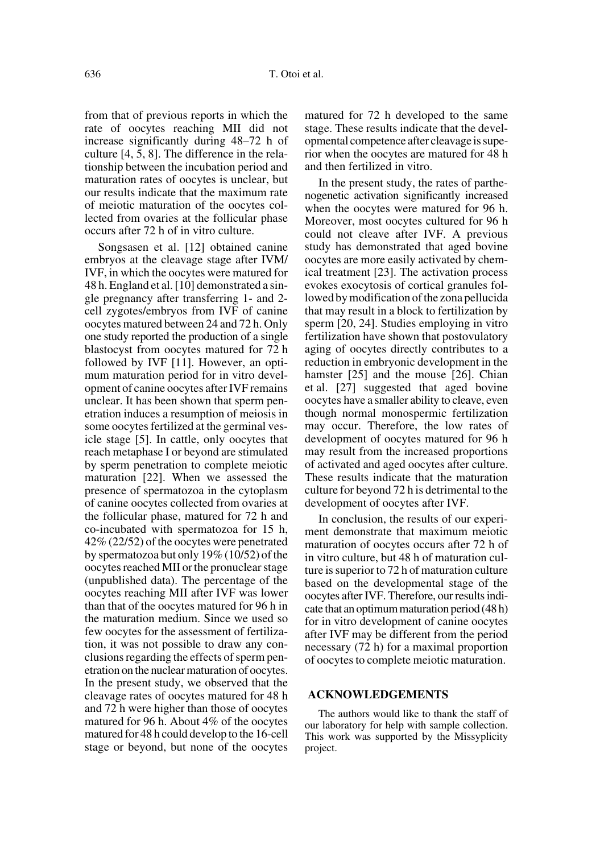from that of previous reports in which the rate of oocytes reaching MII did not increase significantly during 48–72 h of culture [4, 5, 8]. The difference in the relationship between the incubation period and maturation rates of oocytes is unclear, but our results indicate that the maximum rate of meiotic maturation of the oocytes collected from ovaries at the follicular phase occurs after 72 h of in vitro culture.

Songsasen et al. [12] obtained canine embryos at the cleavage stage after IVM/ IVF, in which the oocytes were matured for 48 h. England et al.[10] demonstrated a single pregnancy after transferring 1- and 2 cell zygotes/embryos from IVF of canine oocytes matured between 24 and 72 h. Only one study reported the production of a single blastocyst from oocytes matured for 72 h followed by IVF [11]. However, an optimum maturation period for in vitro development of canine oocytes after IVF remains unclear. It has been shown that sperm penetration induces a resumption of meiosis in some oocytes fertilized at the germinal vesicle stage [5]. In cattle, only oocytes that reach metaphase I or beyond are stimulated by sperm penetration to complete meiotic maturation [22]. When we assessed the presence of spermatozoa in the cytoplasm of canine oocytes collected from ovaries at the follicular phase, matured for 72 h and co-incubated with spermatozoa for 15 h, 42% (22/52) of the oocytes were penetrated by spermatozoa but only 19% (10/52) of the oocytes reached MII or the pronuclear stage (unpublished data). The percentage of the oocytes reaching MII after IVF was lower than that of the oocytes matured for 96 h in the maturation medium. Since we used so few oocytes for the assessment of fertilization, it was not possible to draw any conclusions regarding the effects of sperm penetration on the nuclear maturation of oocytes. In the present study, we observed that the cleavage rates of oocytes matured for 48 h and 72 h were higher than those of oocytes matured for 96 h. About 4% of the oocytes matured for 48 h could develop to the 16-cell stage or beyond, but none of the oocytes matured for 72 h developed to the same stage. These results indicate that the developmental competence after cleavage is superior when the oocytes are matured for 48 h and then fertilized in vitro.

In the present study, the rates of parthenogenetic activation significantly increased when the oocytes were matured for 96 h. Moreover, most oocytes cultured for 96 h could not cleave after IVF. A previous study has demonstrated that aged bovine oocytes are more easily activated by chemical treatment [23]. The activation process evokes exocytosis of cortical granules followed by modification of the zona pellucida that may result in a block to fertilization by sperm [20, 24]. Studies employing in vitro fertilization have shown that postovulatory aging of oocytes directly contributes to a reduction in embryonic development in the hamster [25] and the mouse [26]. Chian et al. [27] suggested that aged bovine oocytes have a smaller ability to cleave, even though normal monospermic fertilization may occur. Therefore, the low rates of development of oocytes matured for 96 h may result from the increased proportions of activated and aged oocytes after culture. These results indicate that the maturation culture for beyond 72 h is detrimental to the development of oocytes after IVF.

In conclusion, the results of our experiment demonstrate that maximum meiotic maturation of oocytes occurs after 72 h of in vitro culture, but 48 h of maturation culture is superior to 72 h of maturation culture based on the developmental stage of the oocytes after IVF. Therefore, our results indicate that an optimum maturation period (48 h) for in vitro development of canine oocytes after IVF may be different from the period necessary (72 h) for a maximal proportion of oocytes to complete meiotic maturation.

#### **ACKNOWLEDGEMENTS**

The authors would like to thank the staff of our laboratory for help with sample collection. This work was supported by the Missyplicity project.